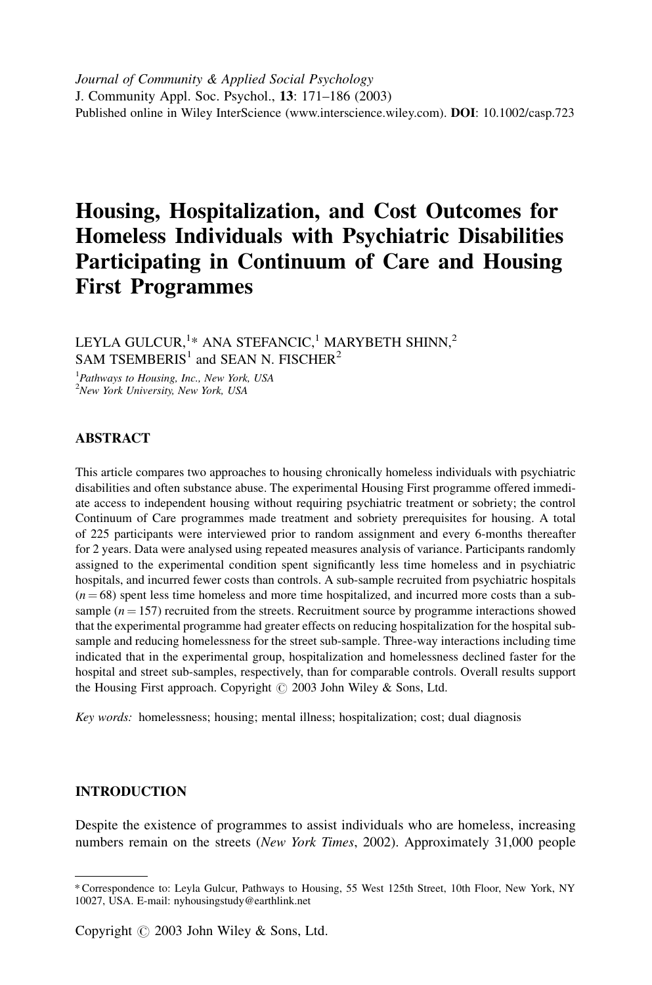Journal of Community & Applied Social Psychology J. Community Appl. Soc. Psychol., 13: 171–186 (2003) Published online in Wiley InterScience (www.interscience.wiley.com). DOI: 10.1002/casp.723

# Housing, Hospitalization, and Cost Outcomes for Homeless Individuals with Psychiatric Disabilities Participating in Continuum of Care and Housing First Programmes

LEYLA GULCUR, $^{1\ast}$  ANA STEFANCIC, $^{1}$  MARYBETH SHINN, $^{2}$ SAM TSEMBERIS<sup>1</sup> and SEAN N. FISCHER<sup>2</sup>

<sup>1</sup>Pathways to Housing, Inc., New York, USA <sup>2</sup>New York University, New York, USA

# ABSTRACT

This article compares two approaches to housing chronically homeless individuals with psychiatric disabilities and often substance abuse. The experimental Housing First programme offered immediate access to independent housing without requiring psychiatric treatment or sobriety; the control Continuum of Care programmes made treatment and sobriety prerequisites for housing. A total of 225 participants were interviewed prior to random assignment and every 6-months thereafter for 2 years. Data were analysed using repeated measures analysis of variance. Participants randomly assigned to the experimental condition spent significantly less time homeless and in psychiatric hospitals, and incurred fewer costs than controls. A sub-sample recruited from psychiatric hospitals  $(n = 68)$  spent less time homeless and more time hospitalized, and incurred more costs than a subsample ( $n = 157$ ) recruited from the streets. Recruitment source by programme interactions showed that the experimental programme had greater effects on reducing hospitalization for the hospital subsample and reducing homelessness for the street sub-sample. Three-way interactions including time indicated that in the experimental group, hospitalization and homelessness declined faster for the hospital and street sub-samples, respectively, than for comparable controls. Overall results support the Housing First approach. Copyright  $\odot$  2003 John Wiley & Sons, Ltd.

Key words: homelessness; housing; mental illness; hospitalization; cost; dual diagnosis

# INTRODUCTION

Despite the existence of programmes to assist individuals who are homeless, increasing numbers remain on the streets (New York Times, 2002). Approximately 31,000 people

<sup>\*</sup> Correspondence to: Leyla Gulcur, Pathways to Housing, 55 West 125th Street, 10th Floor, New York, NY 10027, USA. E-mail: nyhousingstudy@earthlink.net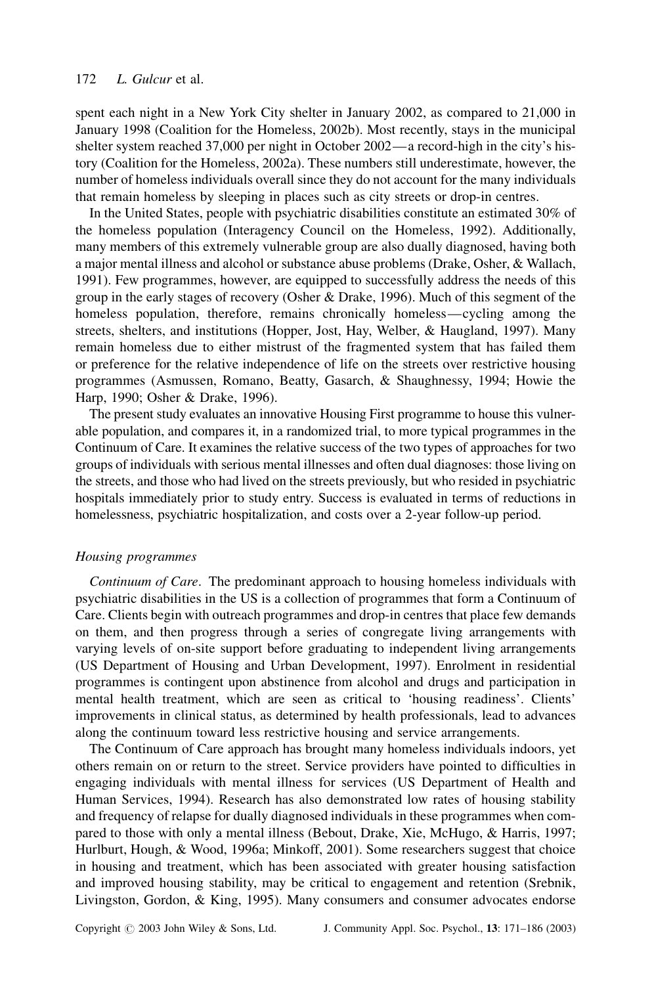spent each night in a New York City shelter in January 2002, as compared to 21,000 in January 1998 (Coalition for the Homeless, 2002b). Most recently, stays in the municipal shelter system reached 37,000 per night in October 2002—a record-high in the city's history (Coalition for the Homeless, 2002a). These numbers still underestimate, however, the number of homeless individuals overall since they do not account for the many individuals that remain homeless by sleeping in places such as city streets or drop-in centres.

In the United States, people with psychiatric disabilities constitute an estimated 30% of the homeless population (Interagency Council on the Homeless, 1992). Additionally, many members of this extremely vulnerable group are also dually diagnosed, having both a major mental illness and alcohol or substance abuse problems (Drake, Osher, & Wallach, 1991). Few programmes, however, are equipped to successfully address the needs of this group in the early stages of recovery (Osher & Drake, 1996). Much of this segment of the homeless population, therefore, remains chronically homeless—cycling among the streets, shelters, and institutions (Hopper, Jost, Hay, Welber, & Haugland, 1997). Many remain homeless due to either mistrust of the fragmented system that has failed them or preference for the relative independence of life on the streets over restrictive housing programmes (Asmussen, Romano, Beatty, Gasarch, & Shaughnessy, 1994; Howie the Harp, 1990; Osher & Drake, 1996).

The present study evaluates an innovative Housing First programme to house this vulnerable population, and compares it, in a randomized trial, to more typical programmes in the Continuum of Care. It examines the relative success of the two types of approaches for two groups of individuals with serious mental illnesses and often dual diagnoses: those living on the streets, and those who had lived on the streets previously, but who resided in psychiatric hospitals immediately prior to study entry. Success is evaluated in terms of reductions in homelessness, psychiatric hospitalization, and costs over a 2-year follow-up period.

#### Housing programmes

Continuum of Care. The predominant approach to housing homeless individuals with psychiatric disabilities in the US is a collection of programmes that form a Continuum of Care. Clients begin with outreach programmes and drop-in centres that place few demands on them, and then progress through a series of congregate living arrangements with varying levels of on-site support before graduating to independent living arrangements (US Department of Housing and Urban Development, 1997). Enrolment in residential programmes is contingent upon abstinence from alcohol and drugs and participation in mental health treatment, which are seen as critical to 'housing readiness'. Clients' improvements in clinical status, as determined by health professionals, lead to advances along the continuum toward less restrictive housing and service arrangements.

The Continuum of Care approach has brought many homeless individuals indoors, yet others remain on or return to the street. Service providers have pointed to difficulties in engaging individuals with mental illness for services (US Department of Health and Human Services, 1994). Research has also demonstrated low rates of housing stability and frequency of relapse for dually diagnosed individuals in these programmes when compared to those with only a mental illness (Bebout, Drake, Xie, McHugo, & Harris, 1997; Hurlburt, Hough, & Wood, 1996a; Minkoff, 2001). Some researchers suggest that choice in housing and treatment, which has been associated with greater housing satisfaction and improved housing stability, may be critical to engagement and retention (Srebnik, Livingston, Gordon, & King, 1995). Many consumers and consumer advocates endorse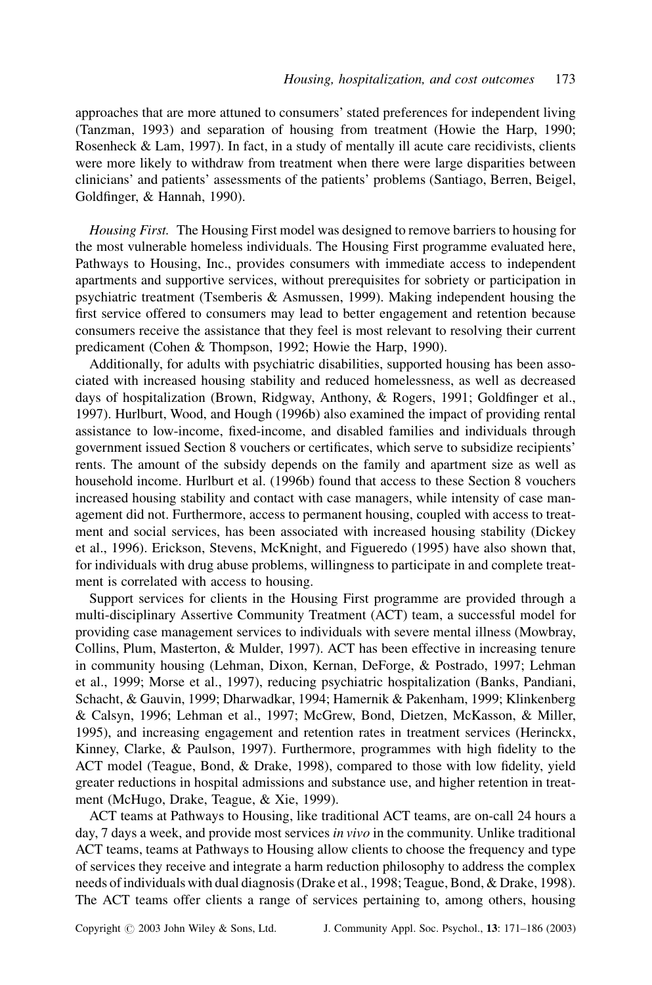approaches that are more attuned to consumers' stated preferences for independent living (Tanzman, 1993) and separation of housing from treatment (Howie the Harp, 1990; Rosenheck & Lam, 1997). In fact, in a study of mentally ill acute care recidivists, clients were more likely to withdraw from treatment when there were large disparities between clinicians' and patients' assessments of the patients' problems (Santiago, Berren, Beigel, Goldfinger, & Hannah, 1990).

Housing First. The Housing First model was designed to remove barriers to housing for the most vulnerable homeless individuals. The Housing First programme evaluated here, Pathways to Housing, Inc., provides consumers with immediate access to independent apartments and supportive services, without prerequisites for sobriety or participation in psychiatric treatment (Tsemberis & Asmussen, 1999). Making independent housing the first service offered to consumers may lead to better engagement and retention because consumers receive the assistance that they feel is most relevant to resolving their current predicament (Cohen & Thompson, 1992; Howie the Harp, 1990).

Additionally, for adults with psychiatric disabilities, supported housing has been associated with increased housing stability and reduced homelessness, as well as decreased days of hospitalization (Brown, Ridgway, Anthony, & Rogers, 1991; Goldfinger et al., 1997). Hurlburt, Wood, and Hough (1996b) also examined the impact of providing rental assistance to low-income, fixed-income, and disabled families and individuals through government issued Section 8 vouchers or certificates, which serve to subsidize recipients' rents. The amount of the subsidy depends on the family and apartment size as well as household income. Hurlburt et al. (1996b) found that access to these Section 8 vouchers increased housing stability and contact with case managers, while intensity of case management did not. Furthermore, access to permanent housing, coupled with access to treatment and social services, has been associated with increased housing stability (Dickey et al., 1996). Erickson, Stevens, McKnight, and Figueredo (1995) have also shown that, for individuals with drug abuse problems, willingness to participate in and complete treatment is correlated with access to housing.

Support services for clients in the Housing First programme are provided through a multi-disciplinary Assertive Community Treatment (ACT) team, a successful model for providing case management services to individuals with severe mental illness (Mowbray, Collins, Plum, Masterton, & Mulder, 1997). ACT has been effective in increasing tenure in community housing (Lehman, Dixon, Kernan, DeForge, & Postrado, 1997; Lehman et al., 1999; Morse et al., 1997), reducing psychiatric hospitalization (Banks, Pandiani, Schacht, & Gauvin, 1999; Dharwadkar, 1994; Hamernik & Pakenham, 1999; Klinkenberg & Calsyn, 1996; Lehman et al., 1997; McGrew, Bond, Dietzen, McKasson, & Miller, 1995), and increasing engagement and retention rates in treatment services (Herinckx, Kinney, Clarke, & Paulson, 1997). Furthermore, programmes with high fidelity to the ACT model (Teague, Bond, & Drake, 1998), compared to those with low fidelity, yield greater reductions in hospital admissions and substance use, and higher retention in treatment (McHugo, Drake, Teague, & Xie, 1999).

ACT teams at Pathways to Housing, like traditional ACT teams, are on-call 24 hours a day, 7 days a week, and provide most services in vivo in the community. Unlike traditional ACT teams, teams at Pathways to Housing allow clients to choose the frequency and type of services they receive and integrate a harm reduction philosophy to address the complex needs of individuals with dual diagnosis (Drake et al., 1998; Teague, Bond, & Drake, 1998). The ACT teams offer clients a range of services pertaining to, among others, housing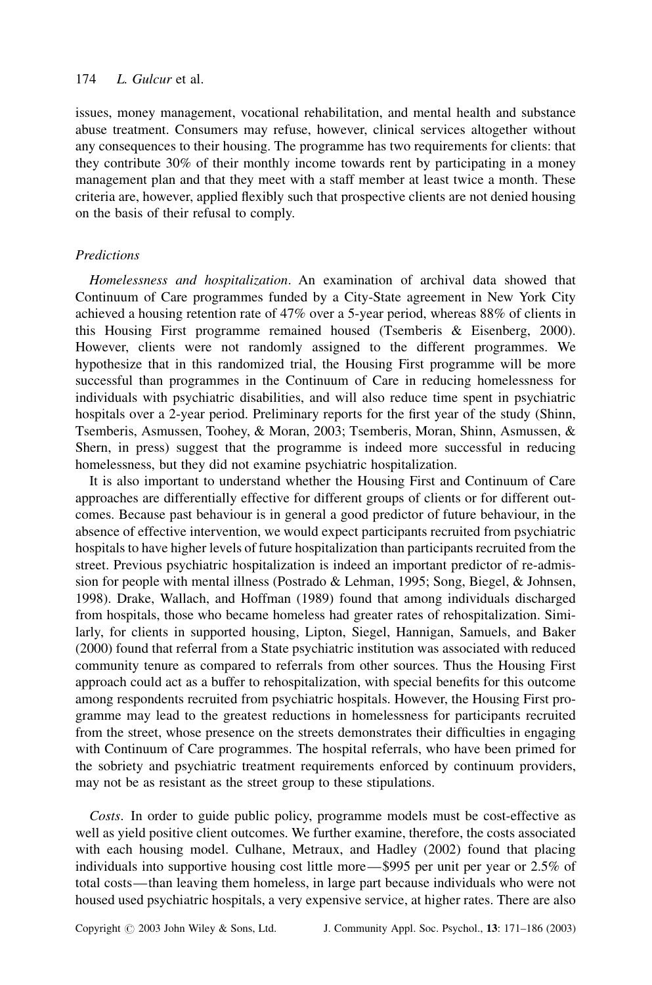issues, money management, vocational rehabilitation, and mental health and substance abuse treatment. Consumers may refuse, however, clinical services altogether without any consequences to their housing. The programme has two requirements for clients: that they contribute 30% of their monthly income towards rent by participating in a money management plan and that they meet with a staff member at least twice a month. These criteria are, however, applied flexibly such that prospective clients are not denied housing on the basis of their refusal to comply.

## Predictions

Homelessness and hospitalization. An examination of archival data showed that Continuum of Care programmes funded by a City-State agreement in New York City achieved a housing retention rate of 47% over a 5-year period, whereas 88% of clients in this Housing First programme remained housed (Tsemberis & Eisenberg, 2000). However, clients were not randomly assigned to the different programmes. We hypothesize that in this randomized trial, the Housing First programme will be more successful than programmes in the Continuum of Care in reducing homelessness for individuals with psychiatric disabilities, and will also reduce time spent in psychiatric hospitals over a 2-year period. Preliminary reports for the first year of the study (Shinn, Tsemberis, Asmussen, Toohey, & Moran, 2003; Tsemberis, Moran, Shinn, Asmussen, & Shern, in press) suggest that the programme is indeed more successful in reducing homelessness, but they did not examine psychiatric hospitalization.

It is also important to understand whether the Housing First and Continuum of Care approaches are differentially effective for different groups of clients or for different outcomes. Because past behaviour is in general a good predictor of future behaviour, in the absence of effective intervention, we would expect participants recruited from psychiatric hospitals to have higher levels of future hospitalization than participants recruited from the street. Previous psychiatric hospitalization is indeed an important predictor of re-admission for people with mental illness (Postrado & Lehman, 1995; Song, Biegel, & Johnsen, 1998). Drake, Wallach, and Hoffman (1989) found that among individuals discharged from hospitals, those who became homeless had greater rates of rehospitalization. Similarly, for clients in supported housing, Lipton, Siegel, Hannigan, Samuels, and Baker (2000) found that referral from a State psychiatric institution was associated with reduced community tenure as compared to referrals from other sources. Thus the Housing First approach could act as a buffer to rehospitalization, with special benefits for this outcome among respondents recruited from psychiatric hospitals. However, the Housing First programme may lead to the greatest reductions in homelessness for participants recruited from the street, whose presence on the streets demonstrates their difficulties in engaging with Continuum of Care programmes. The hospital referrals, who have been primed for the sobriety and psychiatric treatment requirements enforced by continuum providers, may not be as resistant as the street group to these stipulations.

Costs. In order to guide public policy, programme models must be cost-effective as well as yield positive client outcomes. We further examine, therefore, the costs associated with each housing model. Culhane, Metraux, and Hadley (2002) found that placing individuals into supportive housing cost little more—\$995 per unit per year or 2.5% of total costs—than leaving them homeless, in large part because individuals who were not housed used psychiatric hospitals, a very expensive service, at higher rates. There are also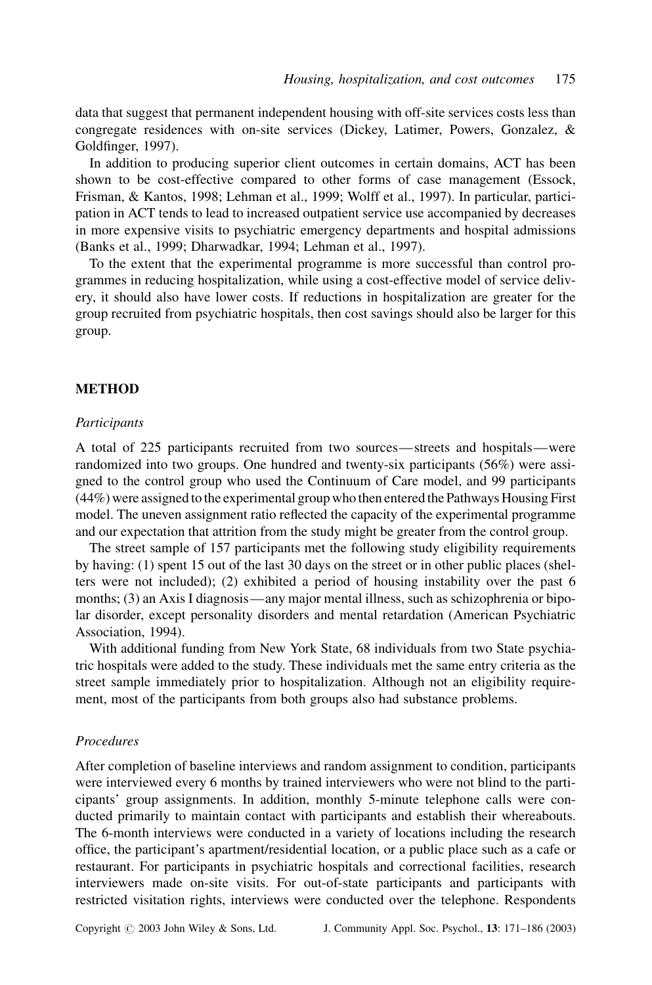data that suggest that permanent independent housing with off-site services costs less than congregate residences with on-site services (Dickey, Latimer, Powers, Gonzalez, & Goldfinger, 1997).

In addition to producing superior client outcomes in certain domains, ACT has been shown to be cost-effective compared to other forms of case management (Essock, Frisman, & Kantos, 1998; Lehman et al., 1999; Wolff et al., 1997). In particular, participation in ACT tends to lead to increased outpatient service use accompanied by decreases in more expensive visits to psychiatric emergency departments and hospital admissions (Banks et al., 1999; Dharwadkar, 1994; Lehman et al., 1997).

To the extent that the experimental programme is more successful than control programmes in reducing hospitalization, while using a cost-effective model of service delivery, it should also have lower costs. If reductions in hospitalization are greater for the group recruited from psychiatric hospitals, then cost savings should also be larger for this group.

# METHOD

#### **Participants**

A total of 225 participants recruited from two sources—streets and hospitals—were randomized into two groups. One hundred and twenty-six participants (56%) were assigned to the control group who used the Continuum of Care model, and 99 participants (44%) were assigned to the experimental group who then entered the Pathways Housing First model. The uneven assignment ratio reflected the capacity of the experimental programme and our expectation that attrition from the study might be greater from the control group.

The street sample of 157 participants met the following study eligibility requirements by having: (1) spent 15 out of the last 30 days on the street or in other public places (shelters were not included); (2) exhibited a period of housing instability over the past 6 months; (3) an Axis I diagnosis—any major mental illness, such as schizophrenia or bipolar disorder, except personality disorders and mental retardation (American Psychiatric Association, 1994).

With additional funding from New York State, 68 individuals from two State psychiatric hospitals were added to the study. These individuals met the same entry criteria as the street sample immediately prior to hospitalization. Although not an eligibility requirement, most of the participants from both groups also had substance problems.

# Procedures

After completion of baseline interviews and random assignment to condition, participants were interviewed every 6 months by trained interviewers who were not blind to the participants' group assignments. In addition, monthly 5-minute telephone calls were conducted primarily to maintain contact with participants and establish their whereabouts. The 6-month interviews were conducted in a variety of locations including the research office, the participant's apartment/residential location, or a public place such as a cafe or restaurant. For participants in psychiatric hospitals and correctional facilities, research interviewers made on-site visits. For out-of-state participants and participants with restricted visitation rights, interviews were conducted over the telephone. Respondents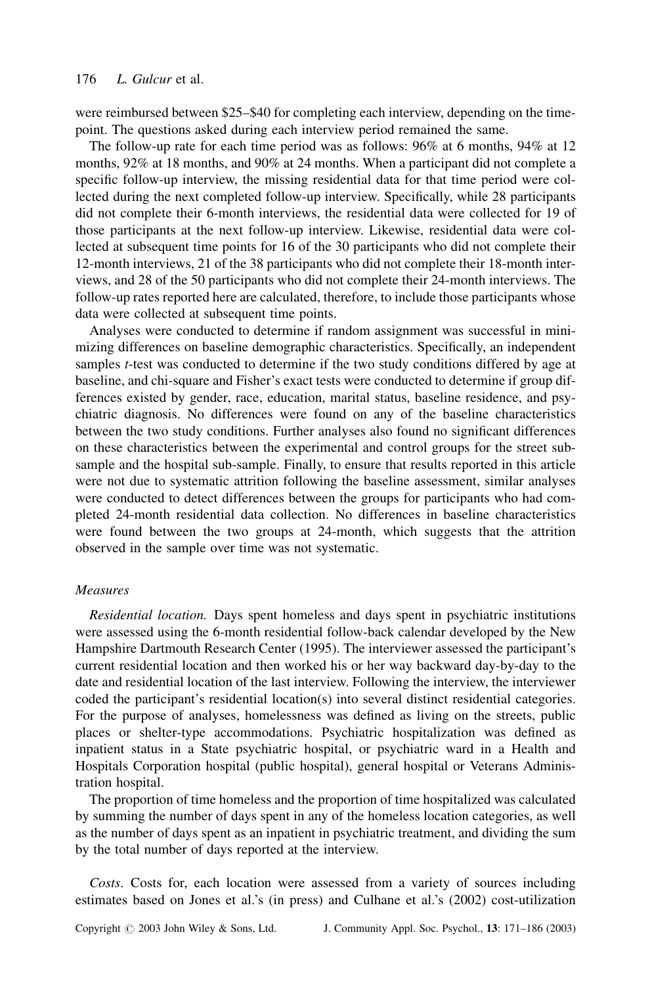were reimbursed between \$25–\$40 for completing each interview, depending on the timepoint. The questions asked during each interview period remained the same.

The follow-up rate for each time period was as follows: 96% at 6 months, 94% at 12 months, 92% at 18 months, and 90% at 24 months. When a participant did not complete a specific follow-up interview, the missing residential data for that time period were collected during the next completed follow-up interview. Specifically, while 28 participants did not complete their 6-month interviews, the residential data were collected for 19 of those participants at the next follow-up interview. Likewise, residential data were collected at subsequent time points for 16 of the 30 participants who did not complete their 12-month interviews, 21 of the 38 participants who did not complete their 18-month interviews, and 28 of the 50 participants who did not complete their 24-month interviews. The follow-up rates reported here are calculated, therefore, to include those participants whose data were collected at subsequent time points.

Analyses were conducted to determine if random assignment was successful in minimizing differences on baseline demographic characteristics. Specifically, an independent samples *t*-test was conducted to determine if the two study conditions differed by age at baseline, and chi-square and Fisher's exact tests were conducted to determine if group differences existed by gender, race, education, marital status, baseline residence, and psychiatric diagnosis. No differences were found on any of the baseline characteristics between the two study conditions. Further analyses also found no significant differences on these characteristics between the experimental and control groups for the street subsample and the hospital sub-sample. Finally, to ensure that results reported in this article were not due to systematic attrition following the baseline assessment, similar analyses were conducted to detect differences between the groups for participants who had completed 24-month residential data collection. No differences in baseline characteristics were found between the two groups at 24-month, which suggests that the attrition observed in the sample over time was not systematic.

#### Measures

Residential location. Days spent homeless and days spent in psychiatric institutions were assessed using the 6-month residential follow-back calendar developed by the New Hampshire Dartmouth Research Center (1995). The interviewer assessed the participant's current residential location and then worked his or her way backward day-by-day to the date and residential location of the last interview. Following the interview, the interviewer coded the participant's residential location(s) into several distinct residential categories. For the purpose of analyses, homelessness was defined as living on the streets, public places or shelter-type accommodations. Psychiatric hospitalization was defined as inpatient status in a State psychiatric hospital, or psychiatric ward in a Health and Hospitals Corporation hospital (public hospital), general hospital or Veterans Administration hospital.

The proportion of time homeless and the proportion of time hospitalized was calculated by summing the number of days spent in any of the homeless location categories, as well as the number of days spent as an inpatient in psychiatric treatment, and dividing the sum by the total number of days reported at the interview.

Costs. Costs for, each location were assessed from a variety of sources including estimates based on Jones et al.'s (in press) and Culhane et al.'s (2002) cost-utilization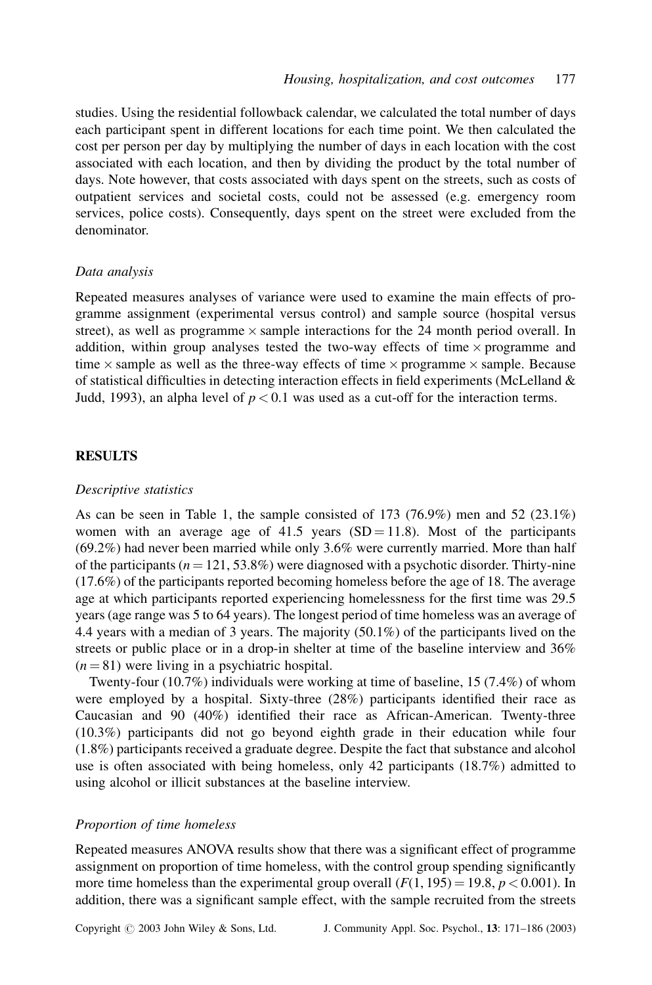studies. Using the residential followback calendar, we calculated the total number of days each participant spent in different locations for each time point. We then calculated the cost per person per day by multiplying the number of days in each location with the cost associated with each location, and then by dividing the product by the total number of days. Note however, that costs associated with days spent on the streets, such as costs of outpatient services and societal costs, could not be assessed (e.g. emergency room services, police costs). Consequently, days spent on the street were excluded from the denominator.

#### Data analysis

Repeated measures analyses of variance were used to examine the main effects of programme assignment (experimental versus control) and sample source (hospital versus street), as well as programme  $\times$  sample interactions for the 24 month period overall. In addition, within group analyses tested the two-way effects of time  $\times$  programme and time  $\times$  sample as well as the three-way effects of time  $\times$  programme  $\times$  sample. Because of statistical difficulties in detecting interaction effects in field experiments (McLelland  $\&$ Judd, 1993), an alpha level of  $p < 0.1$  was used as a cut-off for the interaction terms.

# RESULTS

## Descriptive statistics

As can be seen in Table 1, the sample consisted of  $173$  (76.9%) men and 52 (23.1%) women with an average age of 41.5 years  $(SD = 11.8)$ . Most of the participants (69.2%) had never been married while only 3.6% were currently married. More than half of the participants ( $n = 121, 53.8\%$ ) were diagnosed with a psychotic disorder. Thirty-nine (17.6%) of the participants reported becoming homeless before the age of 18. The average age at which participants reported experiencing homelessness for the first time was 29.5 years (age range was 5 to 64 years). The longest period of time homeless was an average of 4.4 years with a median of 3 years. The majority (50.1%) of the participants lived on the streets or public place or in a drop-in shelter at time of the baseline interview and 36%  $(n = 81)$  were living in a psychiatric hospital.

Twenty-four (10.7%) individuals were working at time of baseline, 15 (7.4%) of whom were employed by a hospital. Sixty-three (28%) participants identified their race as Caucasian and 90 (40%) identified their race as African-American. Twenty-three (10.3%) participants did not go beyond eighth grade in their education while four (1.8%) participants received a graduate degree. Despite the fact that substance and alcohol use is often associated with being homeless, only 42 participants (18.7%) admitted to using alcohol or illicit substances at the baseline interview.

# Proportion of time homeless

Repeated measures ANOVA results show that there was a significant effect of programme assignment on proportion of time homeless, with the control group spending significantly more time homeless than the experimental group overall  $(F(1, 195) = 19.8, p < 0.001)$ . In addition, there was a significant sample effect, with the sample recruited from the streets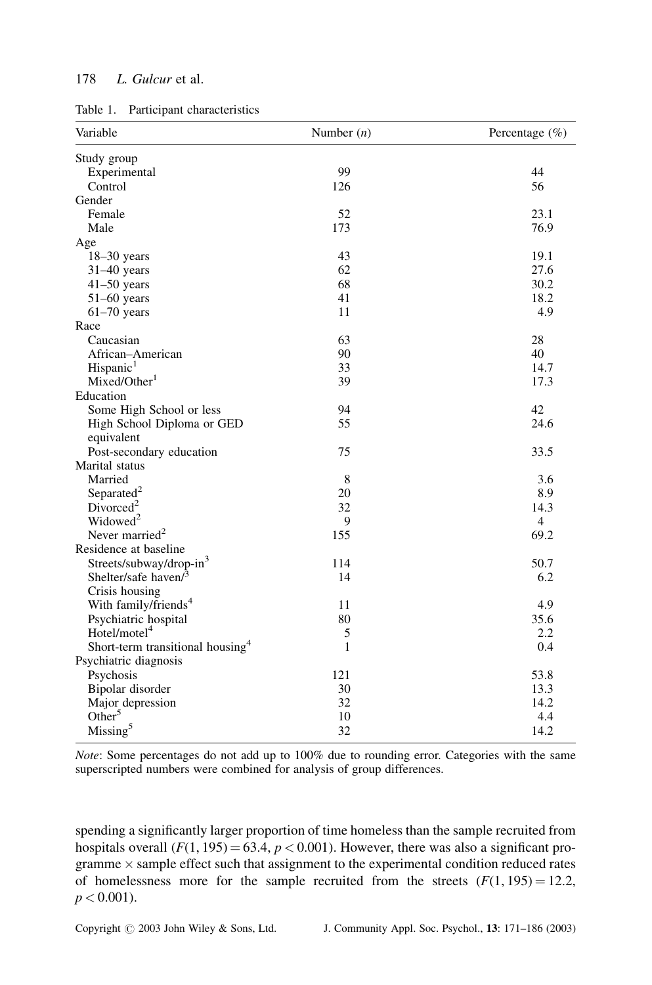| Table 1. | Participant characteristics |  |
|----------|-----------------------------|--|
|          |                             |  |

| Variable                                     | Number $(n)$ | Percentage (%) |
|----------------------------------------------|--------------|----------------|
| Study group                                  |              |                |
| Experimental                                 | 99           | 44             |
| Control                                      | 126          | 56             |
| Gender                                       |              |                |
| Female                                       | 52           | 23.1           |
| Male                                         | 173          | 76.9           |
| Age                                          |              |                |
| $18-30$ years                                | 43           | 19.1           |
| 31-40 years                                  | 62           | 27.6           |
| $41-50$ years                                | 68           | 30.2           |
| $51-60$ years                                | 41           | 18.2           |
| $61-70$ years                                | 11           | 4.9            |
| Race                                         |              |                |
| Caucasian                                    | 63           | 28             |
| African-American                             | 90           | 40             |
| Hispanic <sup>1</sup>                        | 33           | 14.7           |
| Mixed/Other <sup>1</sup>                     | 39           | 17.3           |
| Education                                    |              |                |
| Some High School or less                     | 94           | 42             |
| High School Diploma or GED                   | 55           | 24.6           |
| equivalent                                   |              |                |
| Post-secondary education                     | 75           | 33.5           |
| Marital status                               |              |                |
| Married                                      | 8            | 3.6            |
| Separated <sup>2</sup>                       | 20           | 8.9            |
| Divorced <sup>2</sup>                        | 32           | 14.3           |
| Widowed <sup>2</sup>                         | 9            | $\overline{4}$ |
| Never married <sup>2</sup>                   | 155          | 69.2           |
| Residence at baseline                        |              |                |
| Streets/subway/drop-in <sup>3</sup>          | 114          | 50.7           |
| Shelter/safe haven/ $3$                      | 14           | 6.2            |
| Crisis housing                               |              |                |
| With family/friends <sup>4</sup>             | 11           | 4.9            |
| Psychiatric hospital                         | 80           | 35.6           |
| Hotel/motel <sup>4</sup>                     | 5            | 2.2            |
| Short-term transitional housing <sup>4</sup> | 1            | 0.4            |
| Psychiatric diagnosis                        |              |                |
| Psychosis                                    | 121          | 53.8           |
| Bipolar disorder                             | 30           | 13.3           |
| Major depression                             | 32           | 14.2           |
| Other <sup>5</sup>                           | 10           | 4.4            |
| Missing <sup>5</sup>                         | 32           | 14.2           |

Note: Some percentages do not add up to 100% due to rounding error. Categories with the same superscripted numbers were combined for analysis of group differences.

spending a significantly larger proportion of time homeless than the sample recruited from hospitals overall  $(F(1, 195) = 63.4, p < 0.001)$ . However, there was also a significant programme  $\times$  sample effect such that assignment to the experimental condition reduced rates of homelessness more for the sample recruited from the streets  $(F(1, 195) = 12.2$ ,  $p < 0.001$ ).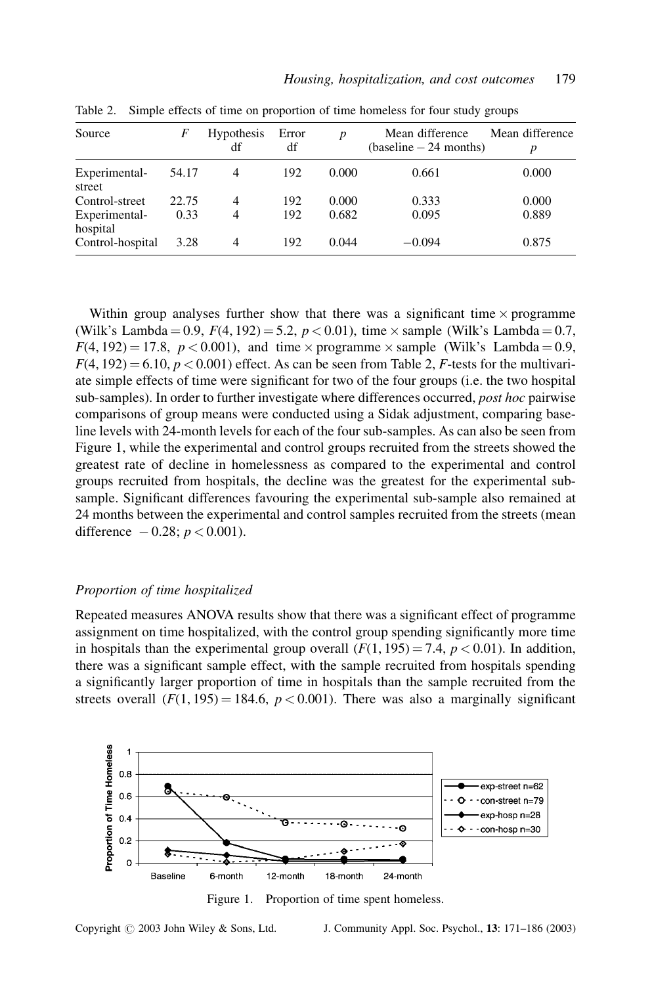| Source                    | F     | <b>Hypothesis</b><br>df | Error<br>df | D     | Mean difference<br>$(baseline - 24 months)$ | Mean difference |
|---------------------------|-------|-------------------------|-------------|-------|---------------------------------------------|-----------------|
| Experimental-<br>street   | 54.17 | 4                       | 192         | 0.000 | 0.661                                       | 0.000           |
| Control-street            | 22.75 | 4                       | 192         | 0.000 | 0.333                                       | 0.000           |
| Experimental-<br>hospital | 0.33  | 4                       | 192         | 0.682 | 0.095                                       | 0.889           |
| Control-hospital          | 3.28  | 4                       | 192         | 0.044 | $-0.094$                                    | 0.875           |

Table 2. Simple effects of time on proportion of time homeless for four study groups

Within group analyses further show that there was a significant time  $\times$  programme (Wilk's Lambda = 0.9,  $F(4, 192) = 5.2, p < 0.01$ ), time  $\times$  sample (Wilk's Lambda = 0.7,  $F(4, 192) = 17.8$ ,  $p < 0.001$ ), and time  $\times$  programme  $\times$  sample (Wilk's Lambda = 0.9,  $F(4, 192) = 6.10, p < 0.001$ ) effect. As can be seen from Table 2, F-tests for the multivariate simple effects of time were significant for two of the four groups (i.e. the two hospital sub-samples). In order to further investigate where differences occurred, post hoc pairwise comparisons of group means were conducted using a Sidak adjustment, comparing baseline levels with 24-month levels for each of the four sub-samples. As can also be seen from Figure 1, while the experimental and control groups recruited from the streets showed the greatest rate of decline in homelessness as compared to the experimental and control groups recruited from hospitals, the decline was the greatest for the experimental subsample. Significant differences favouring the experimental sub-sample also remained at 24 months between the experimental and control samples recruited from the streets (mean difference  $-0.28; p < 0.001$ ).

#### Proportion of time hospitalized

Repeated measures ANOVA results show that there was a significant effect of programme assignment on time hospitalized, with the control group spending significantly more time in hospitals than the experimental group overall  $(F(1, 195) = 7.4, p < 0.01)$ . In addition, there was a significant sample effect, with the sample recruited from hospitals spending a significantly larger proportion of time in hospitals than the sample recruited from the streets overall  $(F(1, 195) = 184.6, p < 0.001)$ . There was also a marginally significant



Figure 1. Proportion of time spent homeless.

Copyright  $\odot$  2003 John Wiley & Sons, Ltd. J. Community Appl. Soc. Psychol., 13: 171–186 (2003)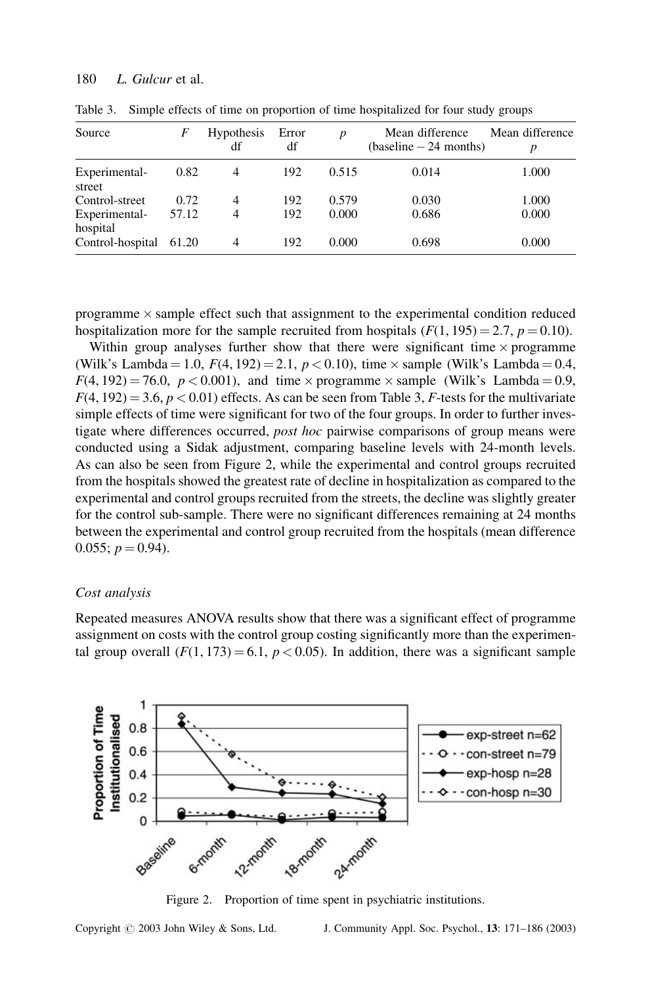| Source                    | F     | <b>Hypothesis</b><br>df | Error<br>df | $\boldsymbol{p}$ | Mean difference<br>$(baseline - 24 months)$ | Mean difference |
|---------------------------|-------|-------------------------|-------------|------------------|---------------------------------------------|-----------------|
| Experimental-<br>street   | 0.82  | $\overline{4}$          | 192         | 0.515            | 0.014                                       | 1.000           |
| Control-street            | 0.72  | $\overline{4}$          | 192         | 0.579            | 0.030                                       | 1.000           |
| Experimental-<br>hospital | 57.12 | 4                       | 192         | 0.000            | 0.686                                       | 0.000           |
| Control-hospital          | 61.20 | 4                       | 192         | 0.000            | 0.698                                       | 0.000           |

Table 3. Simple effects of time on proportion of time hospitalized for four study groups

programme  $\times$  sample effect such that assignment to the experimental condition reduced hospitalization more for the sample recruited from hospitals ( $F(1, 195) = 2.7$ ,  $p = 0.10$ ).

Within group analyses further show that there were significant time  $\times$  programme (Wilk's Lambda = 1.0,  $F(4, 192) = 2.1, p < 0.10$ ), time  $\times$  sample (Wilk's Lambda = 0.4,  $F(4, 192) = 76.0$ ,  $p < 0.001$ ), and time  $\times$  programme  $\times$  sample (Wilk's Lambda = 0.9,  $F(4, 192) = 3.6, p < 0.01$ ) effects. As can be seen from Table 3, F-tests for the multivariate simple effects of time were significant for two of the four groups. In order to further investigate where differences occurred, post hoc pairwise comparisons of group means were conducted using a Sidak adjustment, comparing baseline levels with 24-month levels. As can also be seen from Figure 2, while the experimental and control groups recruited from the hospitals showed the greatest rate of decline in hospitalization as compared to the experimental and control groups recruited from the streets, the decline was slightly greater for the control sub-sample. There were no significant differences remaining at 24 months between the experimental and control group recruited from the hospitals (mean difference 0.055;  $p = 0.94$ ).

#### Cost analysis

Repeated measures ANOVA results show that there was a significant effect of programme assignment on costs with the control group costing significantly more than the experimental group overall  $(F(1, 173) = 6.1, p < 0.05)$ . In addition, there was a significant sample



Figure 2. Proportion of time spent in psychiatric institutions.

Copyright  $\odot$  2003 John Wiley & Sons, Ltd. J. Community Appl. Soc. Psychol., 13: 171–186 (2003)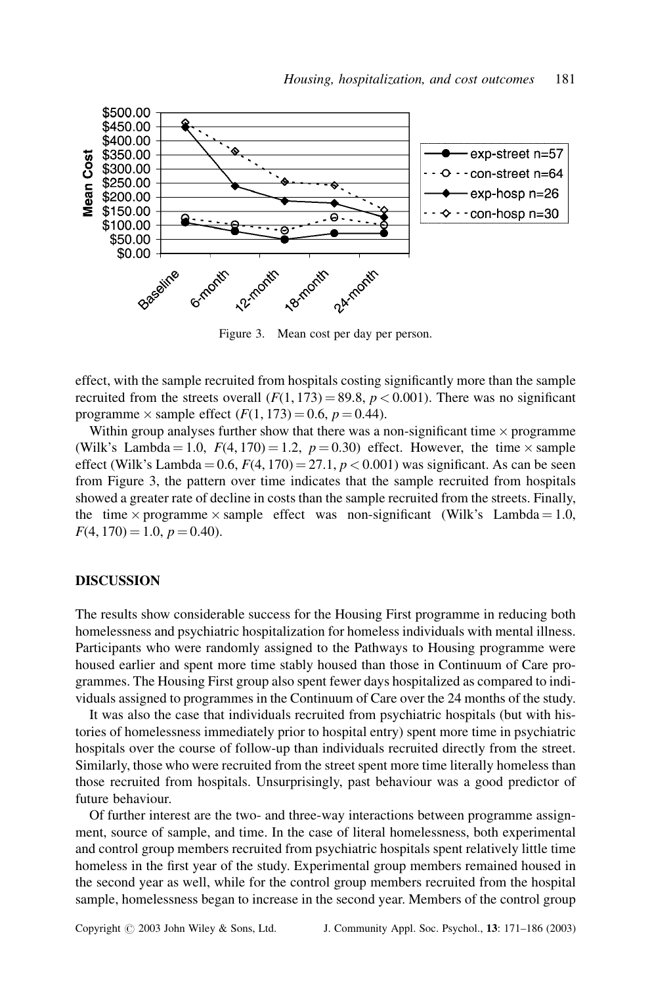

Figure 3. Mean cost per day per person.

effect, with the sample recruited from hospitals costing significantly more than the sample recruited from the streets overall  $(F(1, 173) = 89.8, p < 0.001)$ . There was no significant programme  $\times$  sample effect  $(F(1, 173) = 0.6, p = 0.44)$ .

Within group analyses further show that there was a non-significant time  $\times$  programme (Wilk's Lambda = 1.0,  $F(4, 170) = 1.2$ ,  $p = 0.30$ ) effect. However, the time  $\times$  sample effect (Wilk's Lambda =  $0.6$ ,  $F(4, 170) = 27.1$ ,  $p < 0.001$ ) was significant. As can be seen from Figure 3, the pattern over time indicates that the sample recruited from hospitals showed a greater rate of decline in costs than the sample recruited from the streets. Finally, the time  $\times$  programme  $\times$  sample effect was non-significant (Wilk's Lambda = 1.0,  $F(4, 170) = 1.0, p = 0.40.$ 

## DISCUSSION

The results show considerable success for the Housing First programme in reducing both homelessness and psychiatric hospitalization for homeless individuals with mental illness. Participants who were randomly assigned to the Pathways to Housing programme were housed earlier and spent more time stably housed than those in Continuum of Care programmes. The Housing First group also spent fewer days hospitalized as compared to individuals assigned to programmes in the Continuum of Care over the 24 months of the study.

It was also the case that individuals recruited from psychiatric hospitals (but with histories of homelessness immediately prior to hospital entry) spent more time in psychiatric hospitals over the course of follow-up than individuals recruited directly from the street. Similarly, those who were recruited from the street spent more time literally homeless than those recruited from hospitals. Unsurprisingly, past behaviour was a good predictor of future behaviour.

Of further interest are the two- and three-way interactions between programme assignment, source of sample, and time. In the case of literal homelessness, both experimental and control group members recruited from psychiatric hospitals spent relatively little time homeless in the first year of the study. Experimental group members remained housed in the second year as well, while for the control group members recruited from the hospital sample, homelessness began to increase in the second year. Members of the control group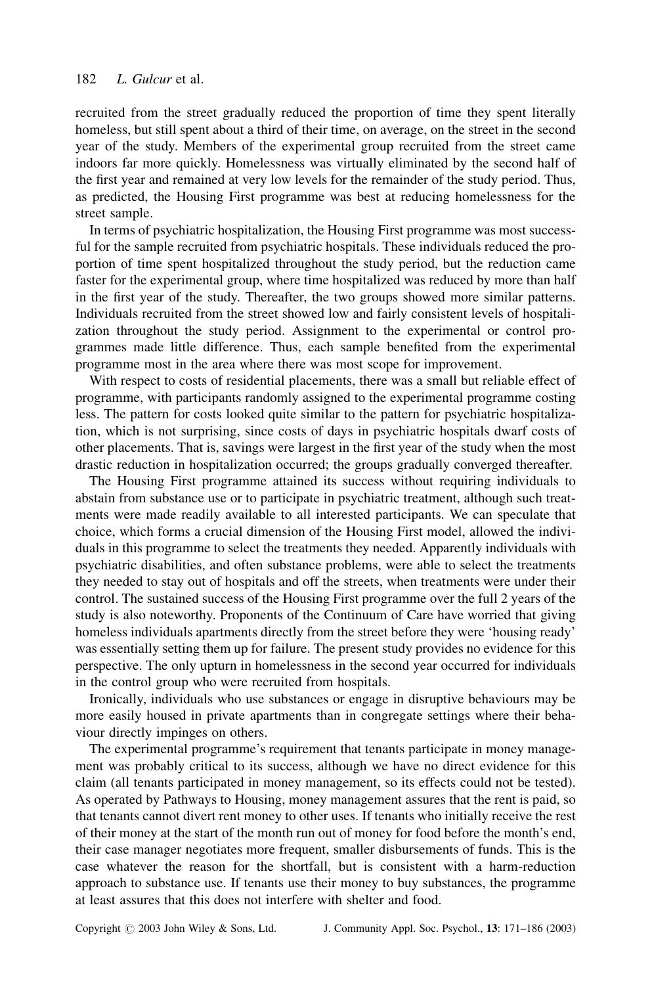recruited from the street gradually reduced the proportion of time they spent literally homeless, but still spent about a third of their time, on average, on the street in the second year of the study. Members of the experimental group recruited from the street came indoors far more quickly. Homelessness was virtually eliminated by the second half of the first year and remained at very low levels for the remainder of the study period. Thus, as predicted, the Housing First programme was best at reducing homelessness for the street sample.

In terms of psychiatric hospitalization, the Housing First programme was most successful for the sample recruited from psychiatric hospitals. These individuals reduced the proportion of time spent hospitalized throughout the study period, but the reduction came faster for the experimental group, where time hospitalized was reduced by more than half in the first year of the study. Thereafter, the two groups showed more similar patterns. Individuals recruited from the street showed low and fairly consistent levels of hospitalization throughout the study period. Assignment to the experimental or control programmes made little difference. Thus, each sample benefited from the experimental programme most in the area where there was most scope for improvement.

With respect to costs of residential placements, there was a small but reliable effect of programme, with participants randomly assigned to the experimental programme costing less. The pattern for costs looked quite similar to the pattern for psychiatric hospitalization, which is not surprising, since costs of days in psychiatric hospitals dwarf costs of other placements. That is, savings were largest in the first year of the study when the most drastic reduction in hospitalization occurred; the groups gradually converged thereafter.

The Housing First programme attained its success without requiring individuals to abstain from substance use or to participate in psychiatric treatment, although such treatments were made readily available to all interested participants. We can speculate that choice, which forms a crucial dimension of the Housing First model, allowed the individuals in this programme to select the treatments they needed. Apparently individuals with psychiatric disabilities, and often substance problems, were able to select the treatments they needed to stay out of hospitals and off the streets, when treatments were under their control. The sustained success of the Housing First programme over the full 2 years of the study is also noteworthy. Proponents of the Continuum of Care have worried that giving homeless individuals apartments directly from the street before they were 'housing ready' was essentially setting them up for failure. The present study provides no evidence for this perspective. The only upturn in homelessness in the second year occurred for individuals in the control group who were recruited from hospitals.

Ironically, individuals who use substances or engage in disruptive behaviours may be more easily housed in private apartments than in congregate settings where their behaviour directly impinges on others.

The experimental programme's requirement that tenants participate in money management was probably critical to its success, although we have no direct evidence for this claim (all tenants participated in money management, so its effects could not be tested). As operated by Pathways to Housing, money management assures that the rent is paid, so that tenants cannot divert rent money to other uses. If tenants who initially receive the rest of their money at the start of the month run out of money for food before the month's end, their case manager negotiates more frequent, smaller disbursements of funds. This is the case whatever the reason for the shortfall, but is consistent with a harm-reduction approach to substance use. If tenants use their money to buy substances, the programme at least assures that this does not interfere with shelter and food.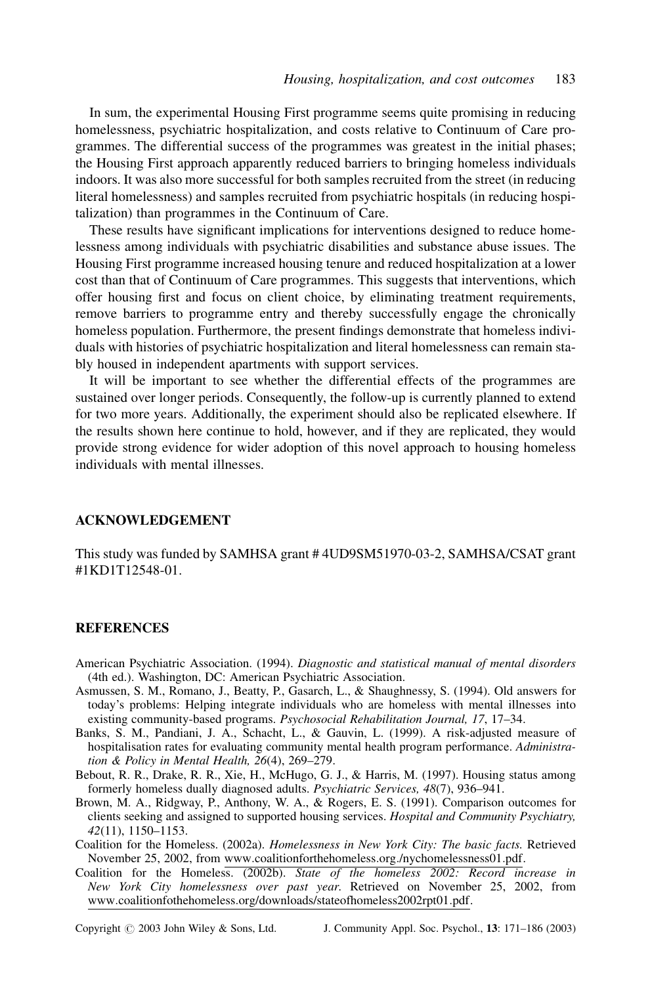In sum, the experimental Housing First programme seems quite promising in reducing homelessness, psychiatric hospitalization, and costs relative to Continuum of Care programmes. The differential success of the programmes was greatest in the initial phases; the Housing First approach apparently reduced barriers to bringing homeless individuals indoors. It was also more successful for both samples recruited from the street (in reducing literal homelessness) and samples recruited from psychiatric hospitals (in reducing hospitalization) than programmes in the Continuum of Care.

These results have significant implications for interventions designed to reduce homelessness among individuals with psychiatric disabilities and substance abuse issues. The Housing First programme increased housing tenure and reduced hospitalization at a lower cost than that of Continuum of Care programmes. This suggests that interventions, which offer housing first and focus on client choice, by eliminating treatment requirements, remove barriers to programme entry and thereby successfully engage the chronically homeless population. Furthermore, the present findings demonstrate that homeless individuals with histories of psychiatric hospitalization and literal homelessness can remain stably housed in independent apartments with support services.

It will be important to see whether the differential effects of the programmes are sustained over longer periods. Consequently, the follow-up is currently planned to extend for two more years. Additionally, the experiment should also be replicated elsewhere. If the results shown here continue to hold, however, and if they are replicated, they would provide strong evidence for wider adoption of this novel approach to housing homeless individuals with mental illnesses.

## ACKNOWLEDGEMENT

This study was funded by SAMHSA grant # 4UD9SM51970-03-2, SAMHSA/CSAT grant #1KD1T12548-01.

#### **REFERENCES**

- American Psychiatric Association. (1994). Diagnostic and statistical manual of mental disorders (4th ed.). Washington, DC: American Psychiatric Association.
- Asmussen, S. M., Romano, J., Beatty, P., Gasarch, L., & Shaughnessy, S. (1994). Old answers for today's problems: Helping integrate individuals who are homeless with mental illnesses into existing community-based programs. Psychosocial Rehabilitation Journal, 17, 17–34.
- Banks, S. M., Pandiani, J. A., Schacht, L., & Gauvin, L. (1999). A risk-adjusted measure of hospitalisation rates for evaluating community mental health program performance. Administration & Policy in Mental Health, 26(4), 269–279.
- Bebout, R. R., Drake, R. R., Xie, H., McHugo, G. J., & Harris, M. (1997). Housing status among formerly homeless dually diagnosed adults. Psychiatric Services, 48(7), 936–941.
- Brown, M. A., Ridgway, P., Anthony, W. A., & Rogers, E. S. (1991). Comparison outcomes for clients seeking and assigned to supported housing services. Hospital and Community Psychiatry, 42(11), 1150–1153.
- Coalition for the Homeless. (2002a). Homelessness in New York City: The basic facts. Retrieved November 25, 2002, from www:coalitionforthehomeless:org:/nychomelessness01:pdf.
- Coalition for the Homeless. (2002b). State of the homeless 2002: Record increase in New York City homelessness over past year. Retrieved on November 25, 2002, from www:coalitionfothehomeless:org/downloads/stateofhomeless2002rpt01:pdf.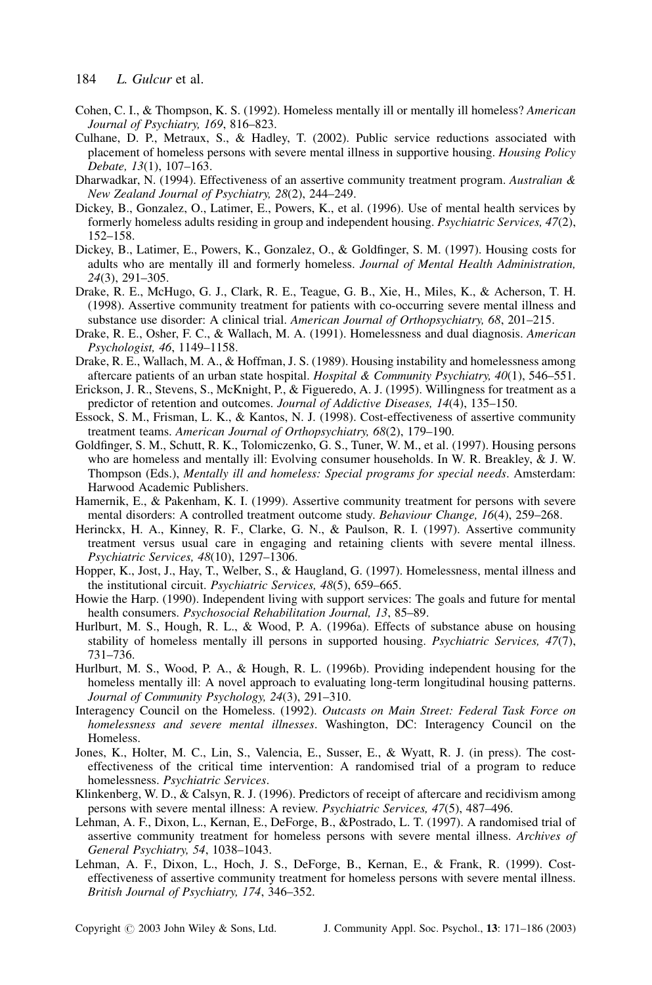- Cohen, C. I., & Thompson, K. S. (1992). Homeless mentally ill or mentally ill homeless? American Journal of Psychiatry, 169, 816–823.
- Culhane, D. P., Metraux, S., & Hadley, T. (2002). Public service reductions associated with placement of homeless persons with severe mental illness in supportive housing. Housing Policy Debate, 13(1), 107–163.
- Dharwadkar, N. (1994). Effectiveness of an assertive community treatment program. Australian  $\&$ New Zealand Journal of Psychiatry, 28(2), 244–249.
- Dickey, B., Gonzalez, O., Latimer, E., Powers, K., et al. (1996). Use of mental health services by formerly homeless adults residing in group and independent housing. Psychiatric Services, 47(2), 152–158.
- Dickey, B., Latimer, E., Powers, K., Gonzalez, O., & Goldfinger, S. M. (1997). Housing costs for adults who are mentally ill and formerly homeless. Journal of Mental Health Administration, 24(3), 291–305.
- Drake, R. E., McHugo, G. J., Clark, R. E., Teague, G. B., Xie, H., Miles, K., & Acherson, T. H. (1998). Assertive community treatment for patients with co-occurring severe mental illness and substance use disorder: A clinical trial. American Journal of Orthopsychiatry, 68, 201-215.
- Drake, R. E., Osher, F. C., & Wallach, M. A. (1991). Homelessness and dual diagnosis. American Psychologist, 46, 1149–1158.
- Drake, R. E., Wallach, M. A., & Hoffman, J. S. (1989). Housing instability and homelessness among aftercare patients of an urban state hospital. Hospital & Community Psychiatry,  $40(1)$ , 546-551.
- Erickson, J. R., Stevens, S., McKnight, P., & Figueredo, A. J. (1995). Willingness for treatment as a predictor of retention and outcomes. Journal of Addictive Diseases, 14(4), 135–150.
- Essock, S. M., Frisman, L. K., & Kantos, N. J. (1998). Cost-effectiveness of assertive community treatment teams. American Journal of Orthopsychiatry, 68(2), 179–190.
- Goldfinger, S. M., Schutt, R. K., Tolomiczenko, G. S., Tuner, W. M., et al. (1997). Housing persons who are homeless and mentally ill: Evolving consumer households. In W. R. Breakley, & J. W. Thompson (Eds.), Mentally ill and homeless: Special programs for special needs. Amsterdam: Harwood Academic Publishers.
- Hamernik, E., & Pakenham, K. I. (1999). Assertive community treatment for persons with severe mental disorders: A controlled treatment outcome study. Behaviour Change, 16(4), 259–268.
- Herinckx, H. A., Kinney, R. F., Clarke, G. N., & Paulson, R. I. (1997). Assertive community treatment versus usual care in engaging and retaining clients with severe mental illness. Psychiatric Services, 48(10), 1297–1306.
- Hopper, K., Jost, J., Hay, T., Welber, S., & Haugland, G. (1997). Homelessness, mental illness and the institutional circuit. Psychiatric Services, 48(5), 659–665.
- Howie the Harp. (1990). Independent living with support services: The goals and future for mental health consumers. Psychosocial Rehabilitation Journal, 13, 85–89.
- Hurlburt, M. S., Hough, R. L., & Wood, P. A. (1996a). Effects of substance abuse on housing stability of homeless mentally ill persons in supported housing. Psychiatric Services, 47(7), 731–736.
- Hurlburt, M. S., Wood, P. A., & Hough, R. L. (1996b). Providing independent housing for the homeless mentally ill: A novel approach to evaluating long-term longitudinal housing patterns. Journal of Community Psychology, 24(3), 291–310.
- Interagency Council on the Homeless. (1992). Outcasts on Main Street: Federal Task Force on homelessness and severe mental illnesses. Washington, DC: Interagency Council on the Homeless.
- Jones, K., Holter, M. C., Lin, S., Valencia, E., Susser, E., & Wyatt, R. J. (in press). The costeffectiveness of the critical time intervention: A randomised trial of a program to reduce homelessness. Psychiatric Services.
- Klinkenberg, W. D., & Calsyn, R. J. (1996). Predictors of receipt of aftercare and recidivism among persons with severe mental illness: A review. Psychiatric Services, 47(5), 487–496.
- Lehman, A. F., Dixon, L., Kernan, E., DeForge, B., &Postrado, L. T. (1997). A randomised trial of assertive community treatment for homeless persons with severe mental illness. Archives of General Psychiatry, 54, 1038–1043.
- Lehman, A. F., Dixon, L., Hoch, J. S., DeForge, B., Kernan, E., & Frank, R. (1999). Costeffectiveness of assertive community treatment for homeless persons with severe mental illness. British Journal of Psychiatry, 174, 346–352.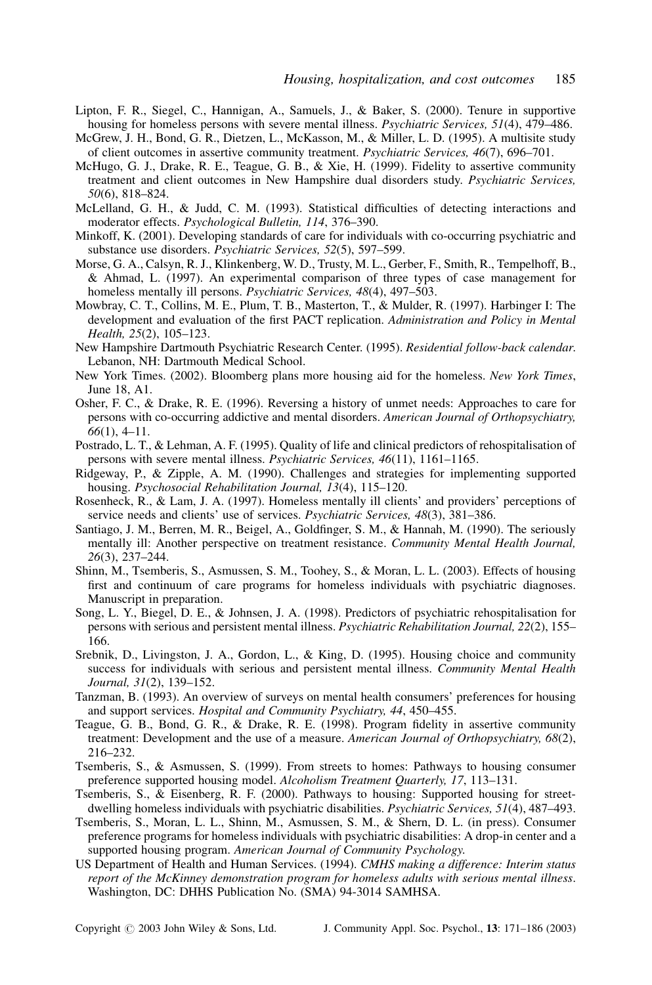- Lipton, F. R., Siegel, C., Hannigan, A., Samuels, J., & Baker, S. (2000). Tenure in supportive housing for homeless persons with severe mental illness. Psychiatric Services, 51(4), 479–486.
- McGrew, J. H., Bond, G. R., Dietzen, L., McKasson, M., & Miller, L. D. (1995). A multisite study of client outcomes in assertive community treatment. Psychiatric Services, 46(7), 696–701.
- McHugo, G. J., Drake, R. E., Teague, G. B., & Xie, H. (1999). Fidelity to assertive community treatment and client outcomes in New Hampshire dual disorders study. Psychiatric Services, 50(6), 818–824.
- McLelland, G. H., & Judd, C. M. (1993). Statistical difficulties of detecting interactions and moderator effects. Psychological Bulletin, 114, 376–390.
- Minkoff, K. (2001). Developing standards of care for individuals with co-occurring psychiatric and substance use disorders. Psychiatric Services, 52(5), 597–599.
- Morse, G. A., Calsyn, R. J., Klinkenberg, W. D., Trusty, M. L., Gerber, F., Smith, R., Tempelhoff, B., & Ahmad, L. (1997). An experimental comparison of three types of case management for homeless mentally ill persons. Psychiatric Services, 48(4), 497–503.
- Mowbray, C. T., Collins, M. E., Plum, T. B., Masterton, T., & Mulder, R. (1997). Harbinger I: The development and evaluation of the first PACT replication. Administration and Policy in Mental Health, 25(2), 105–123.
- New Hampshire Dartmouth Psychiatric Research Center. (1995). Residential follow-back calendar. Lebanon, NH: Dartmouth Medical School.
- New York Times. (2002). Bloomberg plans more housing aid for the homeless. New York Times, June 18, A1.
- Osher, F. C., & Drake, R. E. (1996). Reversing a history of unmet needs: Approaches to care for persons with co-occurring addictive and mental disorders. American Journal of Orthopsychiatry, 66(1), 4–11.
- Postrado, L. T., & Lehman, A. F. (1995). Quality of life and clinical predictors of rehospitalisation of persons with severe mental illness. Psychiatric Services, 46(11), 1161–1165.
- Ridgeway, P., & Zipple, A. M. (1990). Challenges and strategies for implementing supported housing. Psychosocial Rehabilitation Journal, 13(4), 115–120.
- Rosenheck, R., & Lam, J. A. (1997). Homeless mentally ill clients' and providers' perceptions of service needs and clients' use of services. Psychiatric Services, 48(3), 381–386.
- Santiago, J. M., Berren, M. R., Beigel, A., Goldfinger, S. M., & Hannah, M. (1990). The seriously mentally ill: Another perspective on treatment resistance. Community Mental Health Journal, 26(3), 237–244.
- Shinn, M., Tsemberis, S., Asmussen, S. M., Toohey, S., & Moran, L. L. (2003). Effects of housing first and continuum of care programs for homeless individuals with psychiatric diagnoses. Manuscript in preparation.
- Song, L. Y., Biegel, D. E., & Johnsen, J. A. (1998). Predictors of psychiatric rehospitalisation for persons with serious and persistent mental illness. Psychiatric Rehabilitation Journal, 22(2), 155– 166.
- Srebnik, D., Livingston, J. A., Gordon, L., & King, D. (1995). Housing choice and community success for individuals with serious and persistent mental illness. Community Mental Health Journal, 31(2), 139–152.
- Tanzman, B. (1993). An overview of surveys on mental health consumers' preferences for housing and support services. Hospital and Community Psychiatry, 44, 450–455.
- Teague, G. B., Bond, G. R., & Drake, R. E. (1998). Program fidelity in assertive community treatment: Development and the use of a measure. American Journal of Orthopsychiatry, 68(2), 216–232.
- Tsemberis, S., & Asmussen, S. (1999). From streets to homes: Pathways to housing consumer preference supported housing model. Alcoholism Treatment Quarterly, 17, 113–131.
- Tsemberis, S., & Eisenberg, R. F. (2000). Pathways to housing: Supported housing for streetdwelling homeless individuals with psychiatric disabilities. Psychiatric Services, 51(4), 487-493.
- Tsemberis, S., Moran, L. L., Shinn, M., Asmussen, S. M., & Shern, D. L. (in press). Consumer preference programs for homeless individuals with psychiatric disabilities: A drop-in center and a supported housing program. American Journal of Community Psychology.
- US Department of Health and Human Services. (1994). CMHS making a difference: Interim status report of the McKinney demonstration program for homeless adults with serious mental illness. Washington, DC: DHHS Publication No. (SMA) 94-3014 SAMHSA.